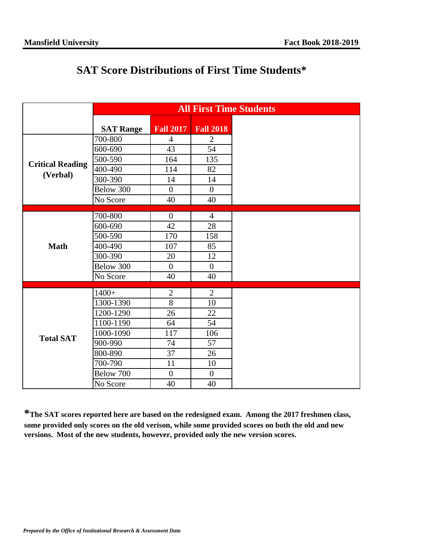## **SAT Score Distributions of First Time Students\***

|                         | <b>All First Time Students</b> |                         |                  |  |  |  |
|-------------------------|--------------------------------|-------------------------|------------------|--|--|--|
|                         | <b>SAT Range</b>               | <b>Fall 2017</b>        | <b>Fall 2018</b> |  |  |  |
|                         | 700-800                        | $\overline{4}$          | $\overline{2}$   |  |  |  |
|                         | 600-690                        | 43                      | 54               |  |  |  |
| <b>Critical Reading</b> | 500-590                        | 164                     | 135              |  |  |  |
| (Verbal)                | 400-490                        | 114                     | 82               |  |  |  |
|                         | 300-390                        | 14                      | 14               |  |  |  |
|                         | Below 300                      | $\boldsymbol{0}$        | $\boldsymbol{0}$ |  |  |  |
|                         | No Score                       | 40                      | 40               |  |  |  |
|                         | 700-800                        | $\boldsymbol{0}$        | $\overline{4}$   |  |  |  |
|                         | 600-690                        | 42                      | 28               |  |  |  |
|                         | 500-590                        |                         |                  |  |  |  |
| <b>Math</b>             | 400-490                        | 170<br>158<br>85<br>107 |                  |  |  |  |
|                         | 300-390                        | 20                      | 12               |  |  |  |
|                         | Below 300                      | $\boldsymbol{0}$        | $\boldsymbol{0}$ |  |  |  |
|                         | No Score                       | 40                      | 40               |  |  |  |
|                         |                                |                         |                  |  |  |  |
|                         | $1400+$                        | $\overline{2}$          | $\sqrt{2}$       |  |  |  |
|                         | 1300-1390                      | $\overline{8}$          | 10               |  |  |  |
|                         | 1200-1290                      | 26                      | 22               |  |  |  |
|                         | 1100-1190                      | 64                      | 54               |  |  |  |
| <b>Total SAT</b>        | 1000-1090                      | 117                     | 106              |  |  |  |
|                         | 900-990                        | 74                      | 57               |  |  |  |
|                         | 800-890                        | 37                      | 26               |  |  |  |
|                         | 700-790                        | 11                      | 10               |  |  |  |
|                         | Below 700                      | $\overline{0}$          | $\overline{0}$   |  |  |  |
|                         | No Score                       | 40                      | 40               |  |  |  |

**\*The SAT scores reported here are based on the redesigned exam. Among the 2017 freshmen class, some provided only scores on the old verison, while some provided scores on both the old and new versions. Most of the new students, however, provided only the new version scores.**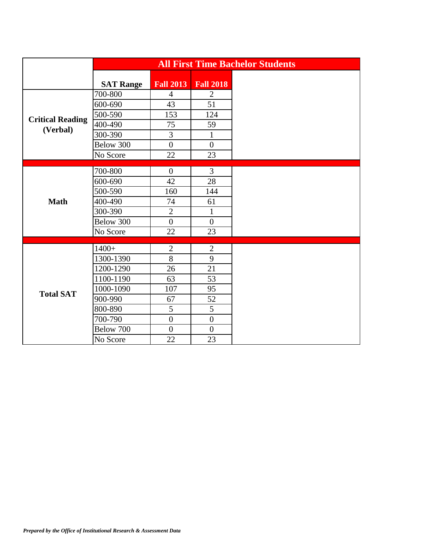|                                     |                  | <b>All First Time Bachelor Students</b> |                  |  |
|-------------------------------------|------------------|-----------------------------------------|------------------|--|
|                                     | <b>SAT Range</b> | <b>Fall 2013</b>                        | <b>Fall 2018</b> |  |
| <b>Critical Reading</b><br>(Verbal) | 700-800          | $\overline{4}$                          | $\overline{2}$   |  |
|                                     | 600-690          | 43                                      | 51               |  |
|                                     | 500-590          | 153                                     | 124              |  |
|                                     | 400-490          | 75                                      | 59               |  |
|                                     | 300-390          | $\overline{3}$                          | $\mathbf{1}$     |  |
|                                     | Below 300        | $\overline{0}$                          | $\overline{0}$   |  |
|                                     | No Score         | 22                                      | 23               |  |
|                                     | 700-800          | $\overline{0}$                          | $\overline{3}$   |  |
|                                     | 600-690          | 42                                      | 28               |  |
|                                     | 500-590          | 160                                     | 144              |  |
| <b>Math</b>                         | 400-490          | 74                                      | 61               |  |
|                                     | 300-390          | $\overline{2}$                          | $\mathbf{1}$     |  |
|                                     | Below 300        | $\overline{0}$                          | $\boldsymbol{0}$ |  |
|                                     | No Score         | 22                                      | 23               |  |
|                                     |                  |                                         |                  |  |
|                                     | $1400+$          | $\overline{2}$                          | $\overline{2}$   |  |
|                                     | 1300-1390        | $8\,$                                   | 9                |  |
|                                     | 1200-1290        | 26                                      | 21               |  |
|                                     | 1100-1190        | 63                                      | 53               |  |
| <b>Total SAT</b>                    | 1000-1090        | 107                                     | 95               |  |
|                                     | 900-990          | 67                                      | 52               |  |
|                                     | 800-890          | 5                                       | 5                |  |
|                                     | 700-790          | $\mathbf{0}$                            | $\boldsymbol{0}$ |  |
|                                     | Below 700        | $\overline{0}$                          | $\overline{0}$   |  |
|                                     | No Score         | 22                                      | 23               |  |